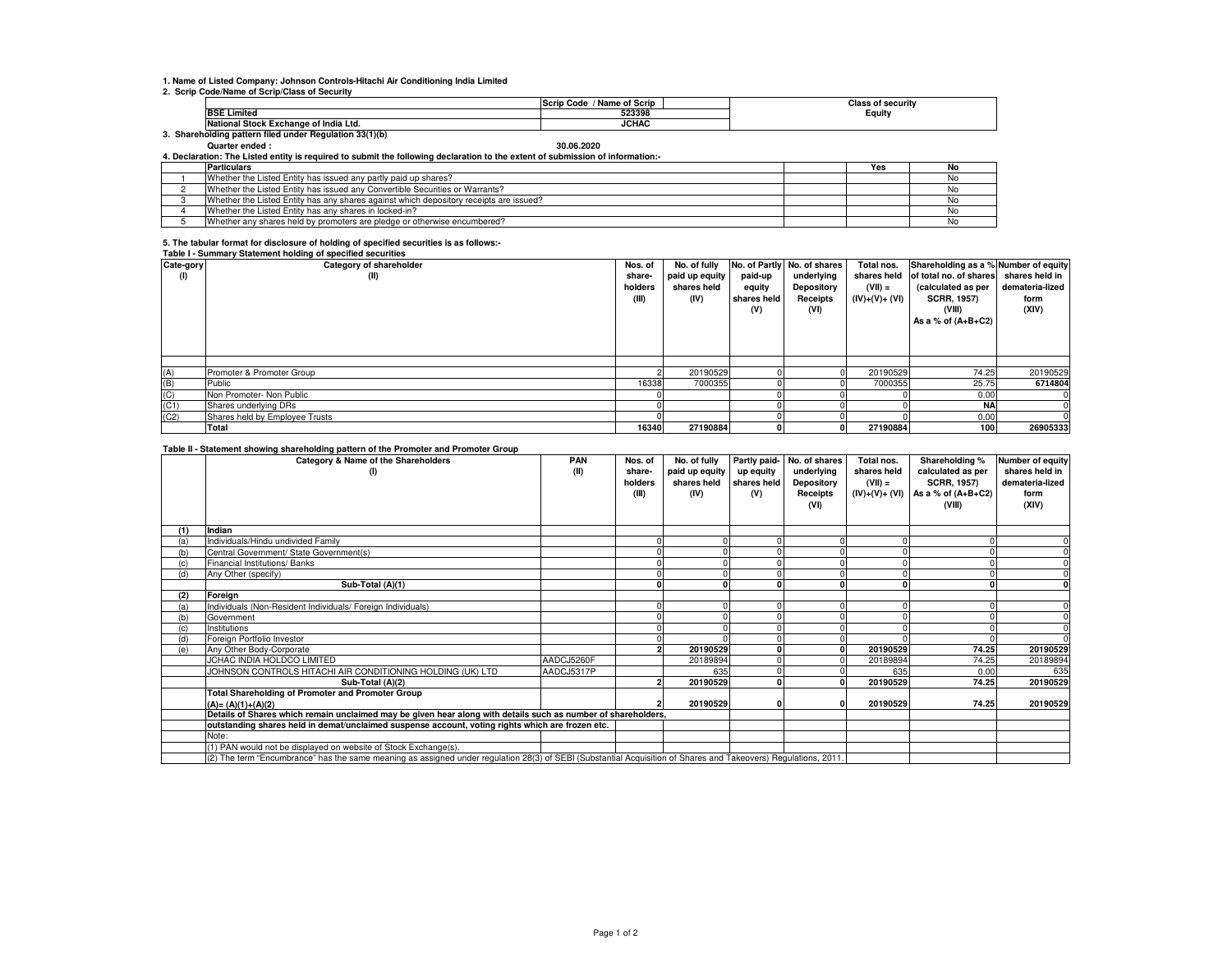## **1. Name of Listed Company: Johnson Controls-Hitachi Air Conditioning India Limited**

#### **2. Scrip Code/Name of Scrip/Class of Security**

|                                                      | <b>Name of Scrip</b><br>Scrip<br>Code | s of securitv<br>'Iooo |  |  |  |  |  |  |
|------------------------------------------------------|---------------------------------------|------------------------|--|--|--|--|--|--|
| <b>BSE Limited</b>                                   | 523398                                | Equity                 |  |  |  |  |  |  |
| ıl Stock Exchange of India Ltd.<br>National          | <b>JCHAC</b>                          |                        |  |  |  |  |  |  |
| Shareholding pattern filed under Regulation 33(1)(b) |                                       |                        |  |  |  |  |  |  |

## **Quarter ended : 30.06.2020**

**4. Declaration: The Listed entity is required to submit the following declaration to the extent of submission of information:-**

| <b>Particulars</b>                                                                     | Yes | No  |
|----------------------------------------------------------------------------------------|-----|-----|
| Whether the Listed Entity has issued any partly paid up shares?                        |     |     |
| Whether the Listed Entity has issued any Convertible Securities or Warrants?           |     |     |
| Whether the Listed Entity has any shares against which depository receipts are issued? |     |     |
| Whether the Listed Entity has any shares in locked-in?                                 |     |     |
| Whether any shares held by promoters are pledge or otherwise encumbered?               |     | NO. |

# **5. The tabular format for disclosure of holding of specified securities is as follows:- Table I - Summary Statement holding of specified securities**

| Cate-gory | Table L. Califfich V Clateriterit Holding or Specifica Securities<br>Category of shareholder | Nos. of | No. of fully   |             | No. of Partly No. of shares | Total nos.     | Shareholding as a % Number of equity |                 |
|-----------|----------------------------------------------------------------------------------------------|---------|----------------|-------------|-----------------------------|----------------|--------------------------------------|-----------------|
| (1)       | (II)                                                                                         | share-  | paid up equity | paid-up     | underlying                  | shares held    | of total no. of shares               | shares held in  |
|           |                                                                                              | holders | shares held    | equity      | Depository                  | $(VII) =$      | (calculated as per                   | demateria-lized |
|           |                                                                                              | (III)   | (IV)           | shares held | Receipts                    | (IV)+(V)+ (VI) | <b>SCRR, 1957)</b>                   | form            |
|           |                                                                                              |         |                | (V)         | (VI)                        |                | (VIII)                               | (XIV)           |
|           |                                                                                              |         |                |             |                             |                | As a % of $(A+B+C2)$                 |                 |
|           |                                                                                              |         |                |             |                             |                |                                      |                 |
|           |                                                                                              |         |                |             |                             |                |                                      |                 |
|           |                                                                                              |         |                |             |                             |                |                                      |                 |
| (A)       | Promoter & Promoter Group                                                                    |         | 20190529       |             |                             | 20190529       | 74.25                                | 20190529        |
| (B)       | Public                                                                                       | 16338   | 7000355        |             |                             | 7000355        | 25.75                                | 6714804         |
| (C)       | Non Promoter- Non Public                                                                     |         |                |             |                             |                | 0.00                                 | $^{\prime}$     |
| (C1)      | Shares underlying DRs                                                                        |         |                |             |                             |                | <b>NA</b>                            |                 |
| (C2)      | Shares held by Employee Trusts                                                               |         |                |             |                             |                | 0.00                                 |                 |
|           | Total                                                                                        | 16340   | 27190884       |             | $\Omega$                    | 27190884       | 100 <sub>1</sub>                     | 26905333        |

### **Table II - Statement showing shareholding pattern of the Promoter and Promoter Group**

|     | and a procession of the main of particular of the complete and complete when<br>Category & Name of the Shareholders                                            | <b>PAN</b> | Nos. of | No. of fully   | Partly paid- | No. of shares     | Total nos.      | Shareholding %       | Number of equity |
|-----|----------------------------------------------------------------------------------------------------------------------------------------------------------------|------------|---------|----------------|--------------|-------------------|-----------------|----------------------|------------------|
|     | (1)                                                                                                                                                            | (II)       | share-  | paid up equity | up equity    | underlying        | shares held     | calculated as per    | shares held in   |
|     |                                                                                                                                                                |            | holders | shares held    | shares held  | <b>Depository</b> | $(VII) =$       | <b>SCRR, 1957)</b>   | demateria-lized  |
|     |                                                                                                                                                                |            | (III)   | (IV)           | (V)          | Receipts          | $(IV)+(V)+(VI)$ | As a % of $(A+B+C2)$ | form             |
|     |                                                                                                                                                                |            |         |                |              | (VI)              |                 | (VIII)               | (XIV)            |
|     |                                                                                                                                                                |            |         |                |              |                   |                 |                      |                  |
|     | Indian                                                                                                                                                         |            |         |                |              |                   |                 |                      |                  |
| (a) | Individuals/Hindu undivided Family                                                                                                                             |            |         |                |              |                   |                 |                      |                  |
| (b) | Central Government/ State Government(s)                                                                                                                        |            |         |                |              |                   |                 |                      |                  |
|     | Financial Institutions/ Banks                                                                                                                                  |            |         |                |              |                   |                 |                      |                  |
| (d) | Any Other (specify)                                                                                                                                            |            |         |                |              |                   |                 |                      |                  |
|     | Sub-Total (A)(1)                                                                                                                                               |            |         |                |              |                   |                 |                      |                  |
| (2) | Foreign                                                                                                                                                        |            |         |                |              |                   |                 |                      |                  |
| (a) | Individuals (Non-Resident Individuals/ Foreign Individuals)                                                                                                    |            |         |                |              |                   |                 |                      |                  |
| (b) | Government                                                                                                                                                     |            |         |                |              |                   |                 |                      |                  |
| (c) | Institutions                                                                                                                                                   |            |         |                |              |                   |                 |                      |                  |
| (d) | Foreign Portfolio Investor                                                                                                                                     |            |         |                |              |                   |                 |                      |                  |
| (e) | Any Other Body-Corporate                                                                                                                                       |            |         | 20190529       |              |                   | 20190529        | 74.25                | 20190529         |
|     | JCHAC INDIA HOLDCO LIMITED                                                                                                                                     | AADCJ5260F |         | 20189894       |              |                   | 20189894        | 74.25                | 20189894         |
|     | JOHNSON CONTROLS HITACHI AIR CONDITIONING HOLDING (UK) LTD                                                                                                     | AADCJ5317P |         | 635            |              |                   | 635             | 0.00                 | 635              |
|     | Sub-Total (A)(2)                                                                                                                                               |            |         | 20190529       |              |                   | 20190529        | 74.25                | 20190529         |
|     | <b>Total Shareholding of Promoter and Promoter Group</b>                                                                                                       |            |         |                |              |                   |                 |                      |                  |
|     | $(A)=(A)(1)+(A)(2)$                                                                                                                                            |            |         | 20190529       |              |                   | 20190529        | 74.25                | 20190529         |
|     | Details of Shares which remain unclaimed may be given hear along with details such as number of shareholders,                                                  |            |         |                |              |                   |                 |                      |                  |
|     | outstanding shares held in demat/unclaimed suspense account, voting rights which are frozen etc.                                                               |            |         |                |              |                   |                 |                      |                  |
|     | Note:                                                                                                                                                          |            |         |                |              |                   |                 |                      |                  |
|     | (1) PAN would not be displayed on website of Stock Exchange(s).                                                                                                |            |         |                |              |                   |                 |                      |                  |
|     | (2) The term "Encumbrance" has the same meaning as assigned under regulation 28(3) of SEBI (Substantial Acquisition of Shares and Takeovers) Regulations, 2011 |            |         |                |              |                   |                 |                      |                  |